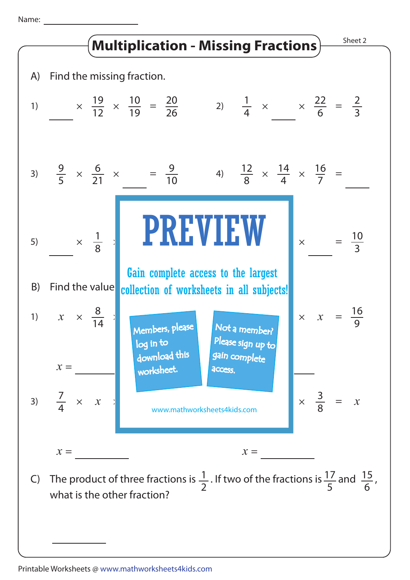Name: